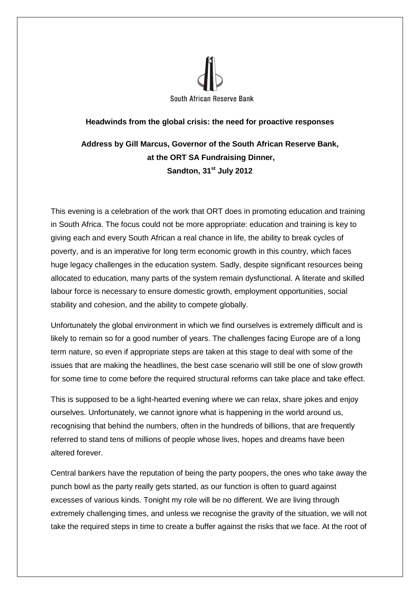

## **Headwinds from the global crisis: the need for proactive responses**

**Address by Gill Marcus, Governor of the South African Reserve Bank, at the ORT SA Fundraising Dinner, Sandton, 31st July 2012**

This evening is a celebration of the work that ORT does in promoting education and training in South Africa. The focus could not be more appropriate: education and training is key to giving each and every South African a real chance in life, the ability to break cycles of poverty, and is an imperative for long term economic growth in this country, which faces huge legacy challenges in the education system. Sadly, despite significant resources being allocated to education, many parts of the system remain dysfunctional. A literate and skilled labour force is necessary to ensure domestic growth, employment opportunities, social stability and cohesion, and the ability to compete globally.

Unfortunately the global environment in which we find ourselves is extremely difficult and is likely to remain so for a good number of years. The challenges facing Europe are of a long term nature, so even if appropriate steps are taken at this stage to deal with some of the issues that are making the headlines, the best case scenario will still be one of slow growth for some time to come before the required structural reforms can take place and take effect.

This is supposed to be a light-hearted evening where we can relax, share jokes and enjoy ourselves. Unfortunately, we cannot ignore what is happening in the world around us, recognising that behind the numbers, often in the hundreds of billions, that are frequently referred to stand tens of millions of people whose lives, hopes and dreams have been altered forever.

Central bankers have the reputation of being the party poopers, the ones who take away the punch bowl as the party really gets started, as our function is often to guard against excesses of various kinds. Tonight my role will be no different. We are living through extremely challenging times, and unless we recognise the gravity of the situation, we will not take the required steps in time to create a buffer against the risks that we face. At the root of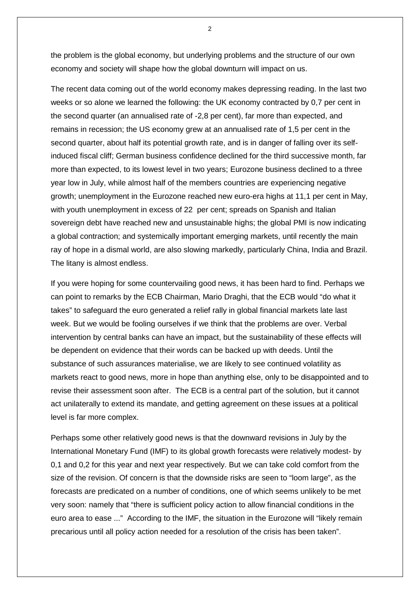the problem is the global economy, but underlying problems and the structure of our own economy and society will shape how the global downturn will impact on us.

The recent data coming out of the world economy makes depressing reading. In the last two weeks or so alone we learned the following: the UK economy contracted by 0,7 per cent in the second quarter (an annualised rate of -2,8 per cent), far more than expected, and remains in recession; the US economy grew at an annualised rate of 1,5 per cent in the second quarter, about half its potential growth rate, and is in danger of falling over its selfinduced fiscal cliff; German business confidence declined for the third successive month, far more than expected, to its lowest level in two years; Eurozone business declined to a three year low in July, while almost half of the members countries are experiencing negative growth; unemployment in the Eurozone reached new euro-era highs at 11,1 per cent in May, with youth unemployment in excess of 22 per cent; spreads on Spanish and Italian sovereign debt have reached new and unsustainable highs; the global PMI is now indicating a global contraction; and systemically important emerging markets, until recently the main ray of hope in a dismal world, are also slowing markedly, particularly China, India and Brazil. The litany is almost endless.

If you were hoping for some countervailing good news, it has been hard to find. Perhaps we can point to remarks by the ECB Chairman, Mario Draghi, that the ECB would "do what it takes" to safeguard the euro generated a relief rally in global financial markets late last week. But we would be fooling ourselves if we think that the problems are over. Verbal intervention by central banks can have an impact, but the sustainability of these effects will be dependent on evidence that their words can be backed up with deeds. Until the substance of such assurances materialise, we are likely to see continued volatility as markets react to good news, more in hope than anything else, only to be disappointed and to revise their assessment soon after. The ECB is a central part of the solution, but it cannot act unilaterally to extend its mandate, and getting agreement on these issues at a political level is far more complex.

Perhaps some other relatively good news is that the downward revisions in July by the International Monetary Fund (IMF) to its global growth forecasts were relatively modest- by 0,1 and 0,2 for this year and next year respectively. But we can take cold comfort from the size of the revision. Of concern is that the downside risks are seen to "loom large", as the forecasts are predicated on a number of conditions, one of which seems unlikely to be met very soon: namely that "there is sufficient policy action to allow financial conditions in the euro area to ease ..." According to the IMF, the situation in the Eurozone will "likely remain precarious until all policy action needed for a resolution of the crisis has been taken".

 $\overline{2}$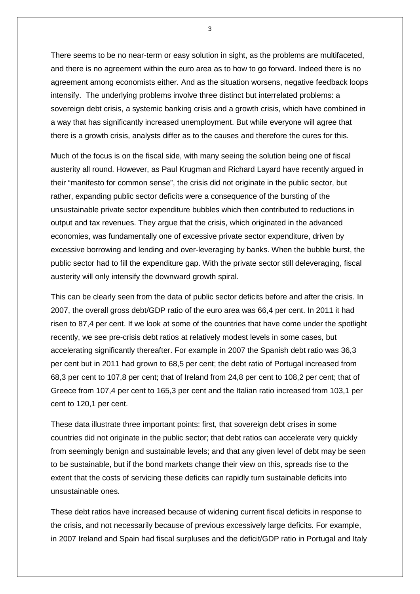There seems to be no near-term or easy solution in sight, as the problems are multifaceted, and there is no agreement within the euro area as to how to go forward. Indeed there is no agreement among economists either. And as the situation worsens, negative feedback loops intensify. The underlying problems involve three distinct but interrelated problems: a sovereign debt crisis, a systemic banking crisis and a growth crisis, which have combined in a way that has significantly increased unemployment. But while everyone will agree that there is a growth crisis, analysts differ as to the causes and therefore the cures for this.

Much of the focus is on the fiscal side, with many seeing the solution being one of fiscal austerity all round. However, as Paul Krugman and Richard Layard have recently argued in their "manifesto for common sense", the crisis did not originate in the public sector, but rather, expanding public sector deficits were a consequence of the bursting of the unsustainable private sector expenditure bubbles which then contributed to reductions in output and tax revenues. They argue that the crisis, which originated in the advanced economies, was fundamentally one of excessive private sector expenditure, driven by excessive borrowing and lending and over-leveraging by banks. When the bubble burst, the public sector had to fill the expenditure gap. With the private sector still deleveraging, fiscal austerity will only intensify the downward growth spiral.

This can be clearly seen from the data of public sector deficits before and after the crisis. In 2007, the overall gross debt/GDP ratio of the euro area was 66,4 per cent. In 2011 it had risen to 87,4 per cent. If we look at some of the countries that have come under the spotlight recently, we see pre-crisis debt ratios at relatively modest levels in some cases, but accelerating significantly thereafter. For example in 2007 the Spanish debt ratio was 36,3 per cent but in 2011 had grown to 68,5 per cent; the debt ratio of Portugal increased from 68,3 per cent to 107,8 per cent; that of Ireland from 24,8 per cent to 108,2 per cent; that of Greece from 107,4 per cent to 165,3 per cent and the Italian ratio increased from 103,1 per cent to 120,1 per cent.

These data illustrate three important points: first, that sovereign debt crises in some countries did not originate in the public sector; that debt ratios can accelerate very quickly from seemingly benign and sustainable levels; and that any given level of debt may be seen to be sustainable, but if the bond markets change their view on this, spreads rise to the extent that the costs of servicing these deficits can rapidly turn sustainable deficits into unsustainable ones.

These debt ratios have increased because of widening current fiscal deficits in response to the crisis, and not necessarily because of previous excessively large deficits. For example, in 2007 Ireland and Spain had fiscal surpluses and the deficit/GDP ratio in Portugal and Italy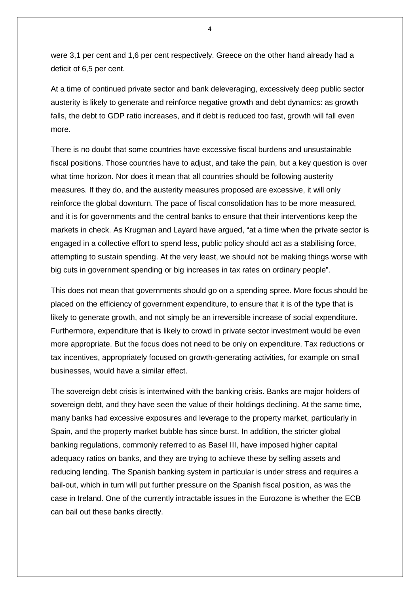were 3,1 per cent and 1,6 per cent respectively. Greece on the other hand already had a deficit of 6,5 per cent.

At a time of continued private sector and bank deleveraging, excessively deep public sector austerity is likely to generate and reinforce negative growth and debt dynamics: as growth falls, the debt to GDP ratio increases, and if debt is reduced too fast, growth will fall even more.

There is no doubt that some countries have excessive fiscal burdens and unsustainable fiscal positions. Those countries have to adjust, and take the pain, but a key question is over what time horizon. Nor does it mean that all countries should be following austerity measures. If they do, and the austerity measures proposed are excessive, it will only reinforce the global downturn. The pace of fiscal consolidation has to be more measured, and it is for governments and the central banks to ensure that their interventions keep the markets in check. As Krugman and Layard have argued, "at a time when the private sector is engaged in a collective effort to spend less, public policy should act as a stabilising force, attempting to sustain spending. At the very least, we should not be making things worse with big cuts in government spending or big increases in tax rates on ordinary people".

This does not mean that governments should go on a spending spree. More focus should be placed on the efficiency of government expenditure, to ensure that it is of the type that is likely to generate growth, and not simply be an irreversible increase of social expenditure. Furthermore, expenditure that is likely to crowd in private sector investment would be even more appropriate. But the focus does not need to be only on expenditure. Tax reductions or tax incentives, appropriately focused on growth-generating activities, for example on small businesses, would have a similar effect.

The sovereign debt crisis is intertwined with the banking crisis. Banks are major holders of sovereign debt, and they have seen the value of their holdings declining. At the same time, many banks had excessive exposures and leverage to the property market, particularly in Spain, and the property market bubble has since burst. In addition, the stricter global banking regulations, commonly referred to as Basel III, have imposed higher capital adequacy ratios on banks, and they are trying to achieve these by selling assets and reducing lending. The Spanish banking system in particular is under stress and requires a bail-out, which in turn will put further pressure on the Spanish fiscal position, as was the case in Ireland. One of the currently intractable issues in the Eurozone is whether the ECB can bail out these banks directly.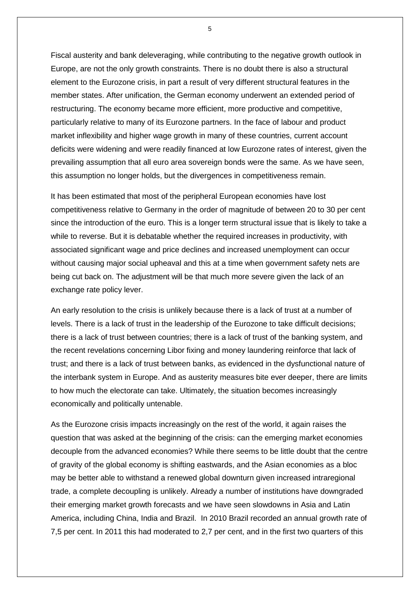Fiscal austerity and bank deleveraging, while contributing to the negative growth outlook in Europe, are not the only growth constraints. There is no doubt there is also a structural element to the Eurozone crisis, in part a result of very different structural features in the member states. After unification, the German economy underwent an extended period of restructuring. The economy became more efficient, more productive and competitive, particularly relative to many of its Eurozone partners. In the face of labour and product market inflexibility and higher wage growth in many of these countries, current account deficits were widening and were readily financed at low Eurozone rates of interest, given the prevailing assumption that all euro area sovereign bonds were the same. As we have seen, this assumption no longer holds, but the divergences in competitiveness remain.

It has been estimated that most of the peripheral European economies have lost competitiveness relative to Germany in the order of magnitude of between 20 to 30 per cent since the introduction of the euro. This is a longer term structural issue that is likely to take a while to reverse. But it is debatable whether the required increases in productivity, with associated significant wage and price declines and increased unemployment can occur without causing major social upheaval and this at a time when government safety nets are being cut back on. The adjustment will be that much more severe given the lack of an exchange rate policy lever.

An early resolution to the crisis is unlikely because there is a lack of trust at a number of levels. There is a lack of trust in the leadership of the Eurozone to take difficult decisions; there is a lack of trust between countries; there is a lack of trust of the banking system, and the recent revelations concerning Libor fixing and money laundering reinforce that lack of trust; and there is a lack of trust between banks, as evidenced in the dysfunctional nature of the interbank system in Europe. And as austerity measures bite ever deeper, there are limits to how much the electorate can take. Ultimately, the situation becomes increasingly economically and politically untenable.

As the Eurozone crisis impacts increasingly on the rest of the world, it again raises the question that was asked at the beginning of the crisis: can the emerging market economies decouple from the advanced economies? While there seems to be little doubt that the centre of gravity of the global economy is shifting eastwards, and the Asian economies as a bloc may be better able to withstand a renewed global downturn given increased intraregional trade, a complete decoupling is unlikely. Already a number of institutions have downgraded their emerging market growth forecasts and we have seen slowdowns in Asia and Latin America, including China, India and Brazil. In 2010 Brazil recorded an annual growth rate of 7,5 per cent. In 2011 this had moderated to 2,7 per cent, and in the first two quarters of this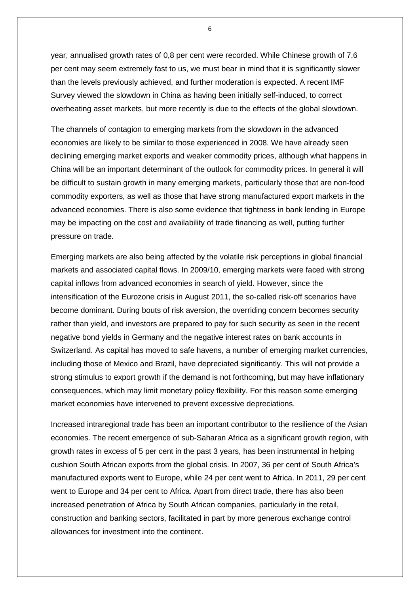year, annualised growth rates of 0,8 per cent were recorded. While Chinese growth of 7,6 per cent may seem extremely fast to us, we must bear in mind that it is significantly slower than the levels previously achieved, and further moderation is expected. A recent IMF Survey viewed the slowdown in China as having been initially self-induced, to correct overheating asset markets, but more recently is due to the effects of the global slowdown.

The channels of contagion to emerging markets from the slowdown in the advanced economies are likely to be similar to those experienced in 2008. We have already seen declining emerging market exports and weaker commodity prices, although what happens in China will be an important determinant of the outlook for commodity prices. In general it will be difficult to sustain growth in many emerging markets, particularly those that are non-food commodity exporters, as well as those that have strong manufactured export markets in the advanced economies. There is also some evidence that tightness in bank lending in Europe may be impacting on the cost and availability of trade financing as well, putting further pressure on trade.

Emerging markets are also being affected by the volatile risk perceptions in global financial markets and associated capital flows. In 2009/10, emerging markets were faced with strong capital inflows from advanced economies in search of yield. However, since the intensification of the Eurozone crisis in August 2011, the so-called risk-off scenarios have become dominant. During bouts of risk aversion, the overriding concern becomes security rather than yield, and investors are prepared to pay for such security as seen in the recent negative bond yields in Germany and the negative interest rates on bank accounts in Switzerland. As capital has moved to safe havens, a number of emerging market currencies, including those of Mexico and Brazil, have depreciated significantly. This will not provide a strong stimulus to export growth if the demand is not forthcoming, but may have inflationary consequences, which may limit monetary policy flexibility. For this reason some emerging market economies have intervened to prevent excessive depreciations.

Increased intraregional trade has been an important contributor to the resilience of the Asian economies. The recent emergence of sub-Saharan Africa as a significant growth region, with growth rates in excess of 5 per cent in the past 3 years, has been instrumental in helping cushion South African exports from the global crisis. In 2007, 36 per cent of South Africa's manufactured exports went to Europe, while 24 per cent went to Africa. In 2011, 29 per cent went to Europe and 34 per cent to Africa. Apart from direct trade, there has also been increased penetration of Africa by South African companies, particularly in the retail, construction and banking sectors, facilitated in part by more generous exchange control allowances for investment into the continent.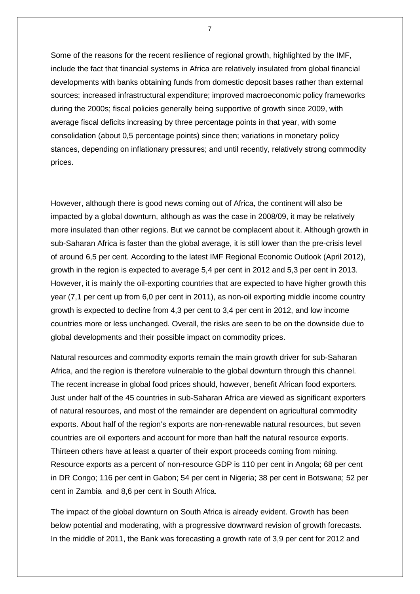Some of the reasons for the recent resilience of regional growth, highlighted by the IMF, include the fact that financial systems in Africa are relatively insulated from global financial developments with banks obtaining funds from domestic deposit bases rather than external sources; increased infrastructural expenditure; improved macroeconomic policy frameworks during the 2000s; fiscal policies generally being supportive of growth since 2009, with average fiscal deficits increasing by three percentage points in that year, with some consolidation (about 0,5 percentage points) since then; variations in monetary policy stances, depending on inflationary pressures; and until recently, relatively strong commodity prices.

However, although there is good news coming out of Africa, the continent will also be impacted by a global downturn, although as was the case in 2008/09, it may be relatively more insulated than other regions. But we cannot be complacent about it. Although growth in sub-Saharan Africa is faster than the global average, it is still lower than the pre-crisis level of around 6,5 per cent. According to the latest IMF Regional Economic Outlook (April 2012), growth in the region is expected to average 5,4 per cent in 2012 and 5,3 per cent in 2013. However, it is mainly the oil-exporting countries that are expected to have higher growth this year (7,1 per cent up from 6,0 per cent in 2011), as non-oil exporting middle income country growth is expected to decline from 4,3 per cent to 3,4 per cent in 2012, and low income countries more or less unchanged. Overall, the risks are seen to be on the downside due to global developments and their possible impact on commodity prices.

Natural resources and commodity exports remain the main growth driver for sub-Saharan Africa, and the region is therefore vulnerable to the global downturn through this channel. The recent increase in global food prices should, however, benefit African food exporters. Just under half of the 45 countries in sub-Saharan Africa are viewed as significant exporters of natural resources, and most of the remainder are dependent on agricultural commodity exports. About half of the region's exports are non-renewable natural resources, but seven countries are oil exporters and account for more than half the natural resource exports. Thirteen others have at least a quarter of their export proceeds coming from mining. Resource exports as a percent of non-resource GDP is 110 per cent in Angola; 68 per cent in DR Congo; 116 per cent in Gabon; 54 per cent in Nigeria; 38 per cent in Botswana; 52 per cent in Zambia and 8,6 per cent in South Africa.

The impact of the global downturn on South Africa is already evident. Growth has been below potential and moderating, with a progressive downward revision of growth forecasts. In the middle of 2011, the Bank was forecasting a growth rate of 3,9 per cent for 2012 and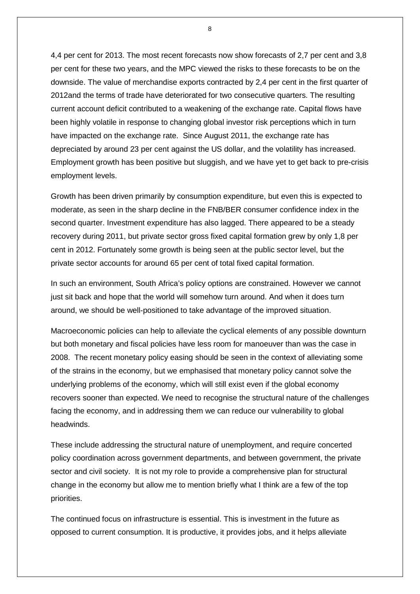4,4 per cent for 2013. The most recent forecasts now show forecasts of 2,7 per cent and 3,8 per cent for these two years, and the MPC viewed the risks to these forecasts to be on the downside. The value of merchandise exports contracted by 2,4 per cent in the first quarter of 2012and the terms of trade have deteriorated for two consecutive quarters. The resulting current account deficit contributed to a weakening of the exchange rate. Capital flows have been highly volatile in response to changing global investor risk perceptions which in turn have impacted on the exchange rate. Since August 2011, the exchange rate has depreciated by around 23 per cent against the US dollar, and the volatility has increased. Employment growth has been positive but sluggish, and we have yet to get back to pre-crisis employment levels.

Growth has been driven primarily by consumption expenditure, but even this is expected to moderate, as seen in the sharp decline in the FNB/BER consumer confidence index in the second quarter. Investment expenditure has also lagged. There appeared to be a steady recovery during 2011, but private sector gross fixed capital formation grew by only 1,8 per cent in 2012. Fortunately some growth is being seen at the public sector level, but the private sector accounts for around 65 per cent of total fixed capital formation.

In such an environment, South Africa's policy options are constrained. However we cannot just sit back and hope that the world will somehow turn around. And when it does turn around, we should be well-positioned to take advantage of the improved situation.

Macroeconomic policies can help to alleviate the cyclical elements of any possible downturn but both monetary and fiscal policies have less room for manoeuver than was the case in 2008. The recent monetary policy easing should be seen in the context of alleviating some of the strains in the economy, but we emphasised that monetary policy cannot solve the underlying problems of the economy, which will still exist even if the global economy recovers sooner than expected. We need to recognise the structural nature of the challenges facing the economy, and in addressing them we can reduce our vulnerability to global headwinds.

These include addressing the structural nature of unemployment, and require concerted policy coordination across government departments, and between government, the private sector and civil society. It is not my role to provide a comprehensive plan for structural change in the economy but allow me to mention briefly what I think are a few of the top priorities.

The continued focus on infrastructure is essential. This is investment in the future as opposed to current consumption. It is productive, it provides jobs, and it helps alleviate